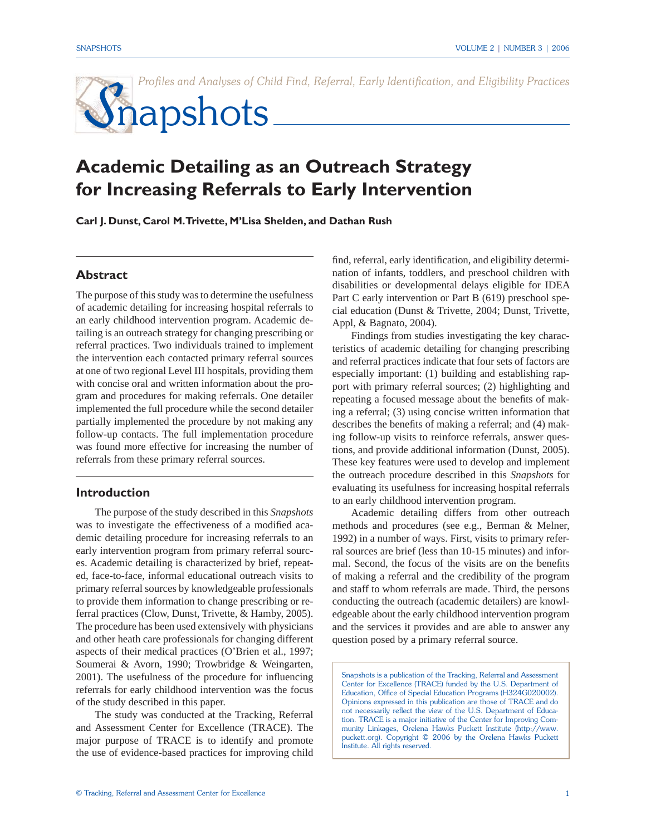Profiles and Analyses of Child Find, Referral, Early Identification, and Eligibility Practices

# Snapshots

## **Academic Detailing as an Outreach Strategy for Increasing Referrals to Early Intervention**

**Carl J. Dunst, Carol M. Trivette, M'Lisa Shelden, and Dathan Rush** 

#### **Abstract**

The purpose of this study was to determine the usefulness of academic detailing for increasing hospital referrals to an early childhood intervention program. Academic detailing is an outreach strategy for changing prescribing or referral practices. Two individuals trained to implement the intervention each contacted primary referral sources at one of two regional Level III hospitals, providing them with concise oral and written information about the program and procedures for making referrals. One detailer implemented the full procedure while the second detailer partially implemented the procedure by not making any follow-up contacts. The full implementation procedure was found more effective for increasing the number of referrals from these primary referral sources.

#### **Introduction**

The purpose of the study described in this *Snapshots*  was to investigate the effectiveness of a modified academic detailing procedure for increasing referrals to an early intervention program from primary referral sources. Academic detailing is characterized by brief, repeated, face-to-face, informal educational outreach visits to primary referral sources by knowledgeable professionals to provide them information to change prescribing or referral practices (Clow, Dunst, Trivette, & Hamby, 2005). The procedure has been used extensively with physicians and other heath care professionals for changing different aspects of their medical practices (O'Brien et al., 1997; Soumerai & Avorn, 1990; Trowbridge & Weingarten, 2001). The usefulness of the procedure for influencing referrals for early childhood intervention was the focus of the study described in this paper.

The study was conducted at the Tracking, Referral and Assessment Center for Excellence (TRACE). The major purpose of TRACE is to identify and promote the use of evidence-based practices for improving child find, referral, early identification, and eligibility determination of infants, toddlers, and preschool children with disabilities or developmental delays eligible for IDEA Part C early intervention or Part B (619) preschool special education (Dunst & Trivette, 2004; Dunst, Trivette, Appl, & Bagnato, 2004).

Findings from studies investigating the key characteristics of academic detailing for changing prescribing and referral practices indicate that four sets of factors are especially important: (1) building and establishing rapport with primary referral sources; (2) highlighting and repeating a focused message about the benefits of making a referral; (3) using concise written information that describes the benefits of making a referral; and  $(4)$  making follow-up visits to reinforce referrals, answer questions, and provide additional information (Dunst, 2005). These key features were used to develop and implement the outreach procedure described in this *Snapshots* for evaluating its usefulness for increasing hospital referrals to an early childhood intervention program.

Academic detailing differs from other outreach methods and procedures (see e.g., Berman & Melner, 1992) in a number of ways. First, visits to primary referral sources are brief (less than 10-15 minutes) and informal. Second, the focus of the visits are on the benefits of making a referral and the credibility of the program and staff to whom referrals are made. Third, the persons conducting the outreach (academic detailers) are knowledgeable about the early childhood intervention program and the services it provides and are able to answer any question posed by a primary referral source.

Snapshots is a publication of the Tracking, Referral and Assessment Center for Excellence (TRACE) funded by the U.S. Department of Education, Office of Special Education Programs (H324G020002). Opinions expressed in this publication are those of TRACE and do not necessarily reflect the view of the U.S. Department of Education. TRACE is a major initiative of the Center for Improving Community Linkages, Orelena Hawks Puckett Institute (http://www. puckett.org). Copyright © 2006 by the Orelena Hawks Puckett Institute. All rights reserved.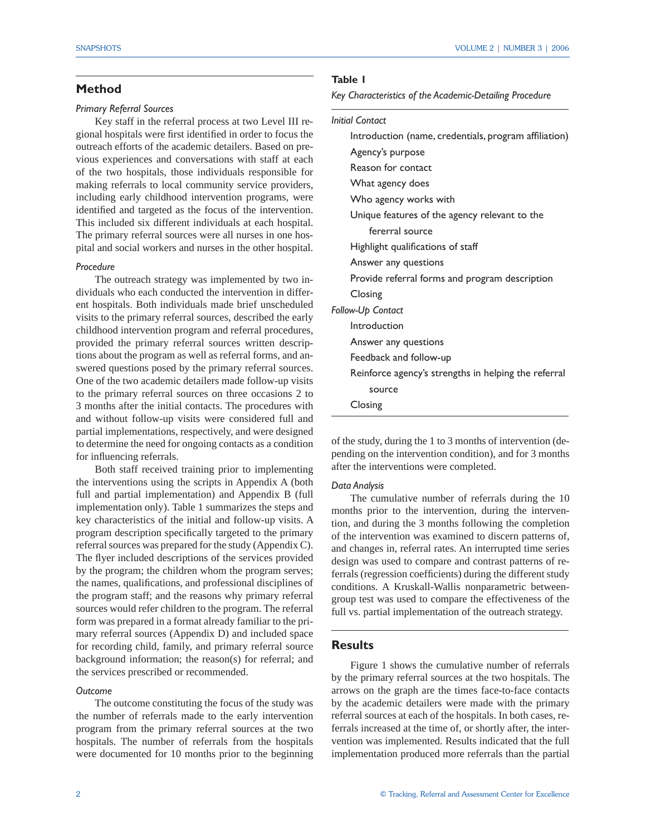#### **Method**

#### *Primary Referral Sources*

Key staff in the referral process at two Level III regional hospitals were first identified in order to focus the outreach efforts of the academic detailers. Based on previous experiences and conversations with staff at each of the two hospitals, those individuals responsible for making referrals to local community service providers, including early childhood intervention programs, were identified and targeted as the focus of the intervention. This included six different individuals at each hospital. The primary referral sources were all nurses in one hospital and social workers and nurses in the other hospital.

#### *Procedure*

The outreach strategy was implemented by two individuals who each conducted the intervention in different hospitals. Both individuals made brief unscheduled visits to the primary referral sources, described the early childhood intervention program and referral procedures, provided the primary referral sources written descriptions about the program as well as referral forms, and answered questions posed by the primary referral sources. One of the two academic detailers made follow-up visits to the primary referral sources on three occasions 2 to 3 months after the initial contacts. The procedures with and without follow-up visits were considered full and partial implementations, respectively, and were designed to determine the need for ongoing contacts as a condition for influencing referrals.

Both staff received training prior to implementing the interventions using the scripts in Appendix A (both full and partial implementation) and Appendix B (full implementation only). Table 1 summarizes the steps and key characteristics of the initial and follow-up visits. A program description specifically targeted to the primary referral sources was prepared for the study (Appendix C). The flyer included descriptions of the services provided by the program; the children whom the program serves; the names, qualifications, and professional disciplines of the program staff; and the reasons why primary referral sources would refer children to the program. The referral form was prepared in a format already familiar to the primary referral sources (Appendix D) and included space for recording child, family, and primary referral source background information; the reason(s) for referral; and the services prescribed or recommended.

#### *Outcome*

The outcome constituting the focus of the study was the number of referrals made to the early intervention program from the primary referral sources at the two hospitals. The number of referrals from the hospitals were documented for 10 months prior to the beginning

#### **Table 1**

*Key Characteristics of the Academic-Detailing Procedure*

#### *Initial Contact*

| Introduction (name, credentials, program affiliation) |
|-------------------------------------------------------|
| Agency's purpose                                      |
| Reason for contact                                    |
| What agency does                                      |
| Who agency works with                                 |
| Unique features of the agency relevant to the         |
| fererral source                                       |
| Highlight qualifications of staff                     |
| Answer any questions                                  |
| Provide referral forms and program description        |
| Closing                                               |
| Follow-Up Contact                                     |
| Introduction                                          |
| Answer any questions                                  |
| Feedback and follow-up                                |
| Reinforce agency's strengths in helping the referral  |
| source                                                |
| Closing                                               |
|                                                       |

of the study, during the 1 to 3 months of intervention (depending on the intervention condition), and for 3 months after the interventions were completed.

#### *Data Analysis*

 The cumulative number of referrals during the 10 months prior to the intervention, during the intervention, and during the 3 months following the completion of the intervention was examined to discern patterns of, and changes in, referral rates. An interrupted time series design was used to compare and contrast patterns of referrals (regression coefficients) during the different study conditions. A Kruskall-Wallis nonparametric betweengroup test was used to compare the effectiveness of the full vs. partial implementation of the outreach strategy.

#### **Results**

Figure 1 shows the cumulative number of referrals by the primary referral sources at the two hospitals. The arrows on the graph are the times face-to-face contacts by the academic detailers were made with the primary referral sources at each of the hospitals. In both cases, referrals increased at the time of, or shortly after, the intervention was implemented. Results indicated that the full implementation produced more referrals than the partial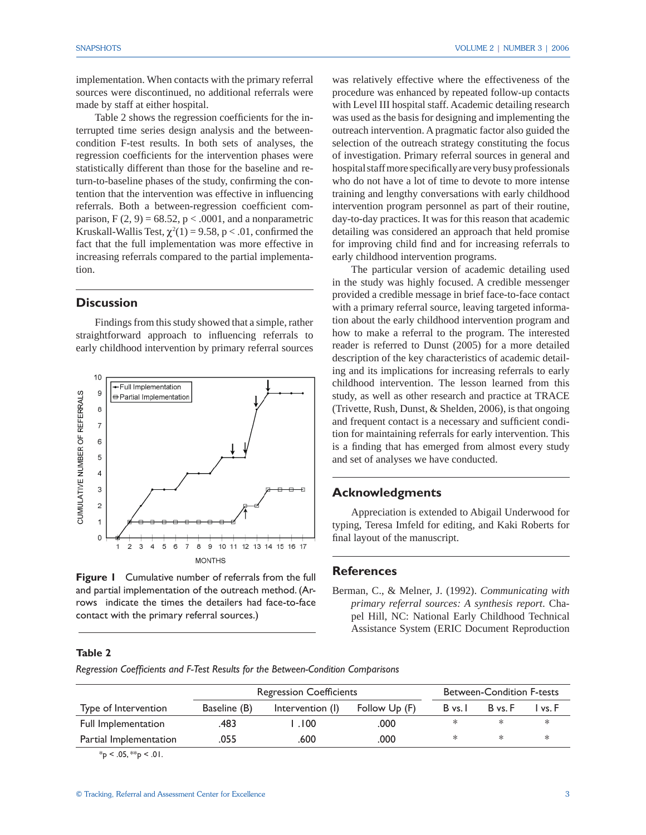implementation. When contacts with the primary referral sources were discontinued, no additional referrals were made by staff at either hospital.

Table 2 shows the regression coefficients for the interrupted time series design analysis and the betweencondition F-test results. In both sets of analyses, the regression coefficients for the intervention phases were statistically different than those for the baseline and return-to-baseline phases of the study, confirming the contention that the intervention was effective in influencing referrals. Both a between-regression coefficient comparison,  $F(2, 9) = 68.52$ ,  $p < .0001$ , and a nonparametric Kruskall-Wallis Test,  $\chi^2(1) = 9.58$ , p < .01, confirmed the fact that the full implementation was more effective in increasing referrals compared to the partial implementation.

#### **Discussion**

 Findings from this study showed that a simple, rather straightforward approach to influencing referrals to early childhood intervention by primary referral sources



**Figure 1** Cumulative number of referrals from the full and partial implementation of the outreach method. (Arrows indicate the times the detailers had face-to-face contact with the primary referral sources.)

was relatively effective where the effectiveness of the procedure was enhanced by repeated follow-up contacts with Level III hospital staff. Academic detailing research was used as the basis for designing and implementing the outreach intervention. A pragmatic factor also guided the selection of the outreach strategy constituting the focus of investigation. Primary referral sources in general and hospital staff more specifically are very busy professionals who do not have a lot of time to devote to more intense training and lengthy conversations with early childhood intervention program personnel as part of their routine, day-to-day practices. It was for this reason that academic detailing was considered an approach that held promise for improving child find and for increasing referrals to early childhood intervention programs.

 The particular version of academic detailing used in the study was highly focused. A credible messenger provided a credible message in brief face-to-face contact with a primary referral source, leaving targeted information about the early childhood intervention program and how to make a referral to the program. The interested reader is referred to Dunst (2005) for a more detailed description of the key characteristics of academic detailing and its implications for increasing referrals to early childhood intervention. The lesson learned from this study, as well as other research and practice at TRACE (Trivette, Rush, Dunst, & Shelden, 2006), is that ongoing and frequent contact is a necessary and sufficient condition for maintaining referrals for early intervention. This is a finding that has emerged from almost every study and set of analyses we have conducted.

#### **Acknowledgments**

 Appreciation is extended to Abigail Underwood for typing, Teresa Imfeld for editing, and Kaki Roberts for final layout of the manuscript.

#### **References**

Berman, C., & Melner, J. (1992). *Communicating with primary referral sources: A synthesis report*. Chapel Hill, NC: National Early Childhood Technical Assistance System (ERIC Document Reproduction

#### **Table 2**

*Regression Coeffi cients and F-Test Results for the Between-Condition Comparisons*

|                        |              | <b>Regression Coefficients</b> |               | <b>Between-Condition F-tests</b> |         |         |
|------------------------|--------------|--------------------------------|---------------|----------------------------------|---------|---------|
| Type of Intervention   | Baseline (B) | Intervention (I)               | Follow Up (F) | B vs. I                          | B vs. F | I vs. F |
| Full Implementation    | .483         | .100                           | .000          |                                  |         |         |
| Partial Implementation | .055         | .600                           | .000          | ∗                                | ∗       |         |

 $*_{p}$  < .05,  $*_{p}$  < .01.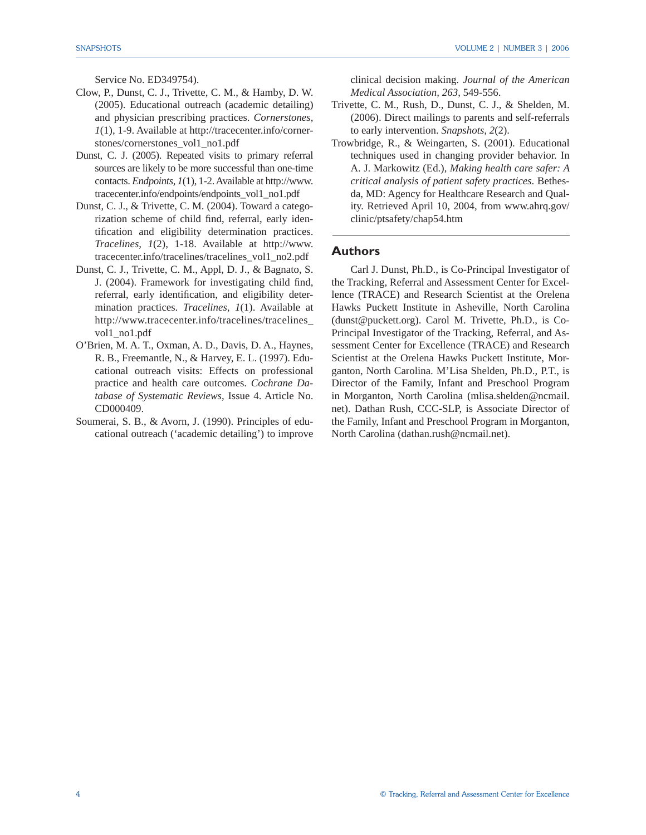Service No. ED349754).

- Clow, P., Dunst, C. J., Trivette, C. M., & Hamby, D. W. (2005). Educational outreach (academic detailing) and physician prescribing practices. *Cornerstones, 1*(1), 1-9. Available at http://tracecenter.info/cornerstones/cornerstones\_vol1\_no1.pdf
- Dunst, C. J. (2005). Repeated visits to primary referral sources are likely to be more successful than one-time contacts. *Endpoints, 1*(1), 1-2. Available at http://www. tracecenter.info/endpoints/endpoints\_vol1\_no1.pdf
- Dunst, C. J., & Trivette, C. M. (2004). Toward a categorization scheme of child find, referral, early identification and eligibility determination practices. *Tracelines, 1*(2), 1-18. Available at http://www. tracecenter.info/tracelines/tracelines\_vol1\_no2.pdf
- Dunst, C. J., Trivette, C. M., Appl, D. J., & Bagnato, S. J. (2004). Framework for investigating child find, referral, early identification, and eligibility determination practices. *Tracelines, 1*(1). Available at http://www.tracecenter.info/tracelines/tracelines\_ vol1\_no1.pdf
- O'Brien, M. A. T., Oxman, A. D., Davis, D. A., Haynes, R. B., Freemantle, N., & Harvey, E. L. (1997). Educational outreach visits: Effects on professional practice and health care outcomes. *Cochrane Database of Systematic Reviews*, Issue 4. Article No. CD000409.
- Soumerai, S. B., & Avorn, J. (1990). Principles of educational outreach ('academic detailing') to improve

clinical decision making. *Journal of the American Medical Association, 263*, 549-556.

- Trivette, C. M., Rush, D., Dunst, C. J., & Shelden, M. (2006). Direct mailings to parents and self-referrals to early intervention. *Snapshots, 2*(2).
- Trowbridge, R., & Weingarten, S. (2001). Educational techniques used in changing provider behavior. In A. J. Markowitz (Ed.), *Making health care safer: A critical analysis of patient safety practices*. Bethesda, MD: Agency for Healthcare Research and Quality. Retrieved April 10, 2004, from www.ahrq.gov/ clinic/ptsafety/chap54.htm

#### **Authors**

Carl J. Dunst, Ph.D., is Co-Principal Investigator of the Tracking, Referral and Assessment Center for Excellence (TRACE) and Research Scientist at the Orelena Hawks Puckett Institute in Asheville, North Carolina (dunst@puckett.org). Carol M. Trivette, Ph.D., is Co-Principal Investigator of the Tracking, Referral, and Assessment Center for Excellence (TRACE) and Research Scientist at the Orelena Hawks Puckett Institute, Morganton, North Carolina. M'Lisa Shelden, Ph.D., P.T., is Director of the Family, Infant and Preschool Program in Morganton, North Carolina (mlisa.shelden@ncmail. net). Dathan Rush, CCC-SLP, is Associate Director of the Family, Infant and Preschool Program in Morganton, North Carolina (dathan.rush@ncmail.net).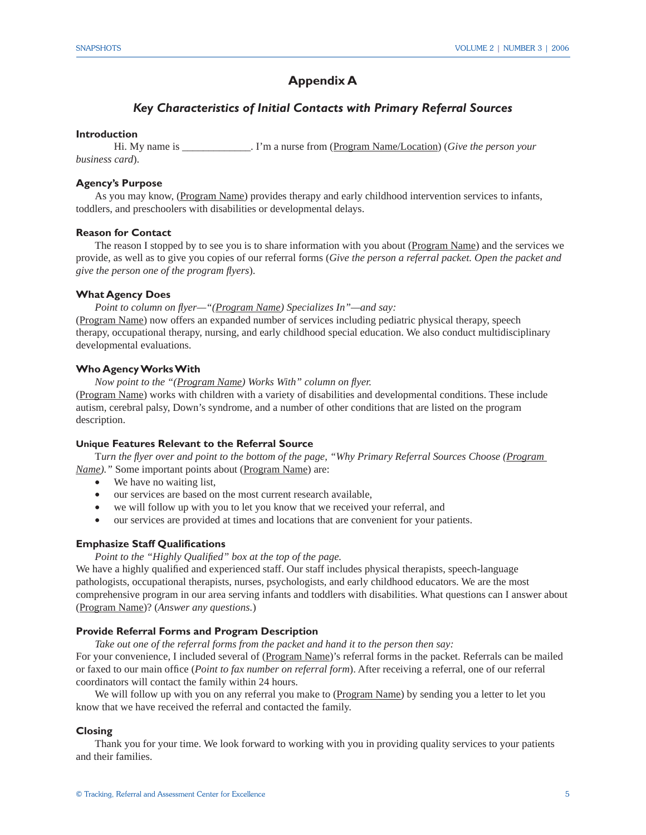## **Appendix A**

#### *Key Characteristics of Initial Contacts with Primary Referral Sources*

#### **Introduction**

 Hi. My name is \_\_\_\_\_\_\_\_\_\_\_\_\_. I'm a nurse from (Program Name/Location) (*Give the person your business card*).

#### **Agency's Purpose**

As you may know, (Program Name) provides therapy and early childhood intervention services to infants, toddlers, and preschoolers with disabilities or developmental delays.

#### **Reason for Contact**

The reason I stopped by to see you is to share information with you about (Program Name) and the services we provide, as well as to give you copies of our referral forms (*Give the person a referral packet. Open the packet and give the person one of the program fl yers*).

#### **What Agency Does**

*Point to column on flyer—"(Program Name) Specializes In"—and say:* (Program Name) now offers an expanded number of services including pediatric physical therapy, speech therapy, occupational therapy, nursing, and early childhood special education. We also conduct multidisciplinary developmental evaluations.

#### **Who Agency Works With**

*Now point to the "(Program Name) Works With" column on flyer.* (Program Name) works with children with a variety of disabilities and developmental conditions. These include autism, cerebral palsy, Down's syndrome, and a number of other conditions that are listed on the program description.

#### **Unique Features Relevant to the Referral Source**

Turn the *flyer over and point to the bottom of the page, "Why Primary Referral Sources Choose (Program Name*)." Some important points about (Program Name) are:

- We have no waiting list,
- our services are based on the most current research available,
- we will follow up with you to let you know that we received your referral, and
- our services are provided at times and locations that are convenient for your patients.

#### **Emphasize Staff Qualifications**

Point to the "Highly Qualified" box at the top of the page.

We have a highly qualified and experienced staff. Our staff includes physical therapists, speech-language pathologists, occupational therapists, nurses, psychologists, and early childhood educators. We are the most comprehensive program in our area serving infants and toddlers with disabilities. What questions can I answer about (Program Name)? (*Answer any questions.*)

#### **Provide Referral Forms and Program Description**

*Take out one of the referral forms from the packet and hand it to the person then say:*

For your convenience, I included several of (Program Name)'s referral forms in the packet. Referrals can be mailed or faxed to our main office (*Point to fax number on referral form*). After receiving a referral, one of our referral coordinators will contact the family within 24 hours.

We will follow up with you on any referral you make to (Program Name) by sending you a letter to let you know that we have received the referral and contacted the family.

#### **Closing**

 Thank you for your time. We look forward to working with you in providing quality services to your patients and their families.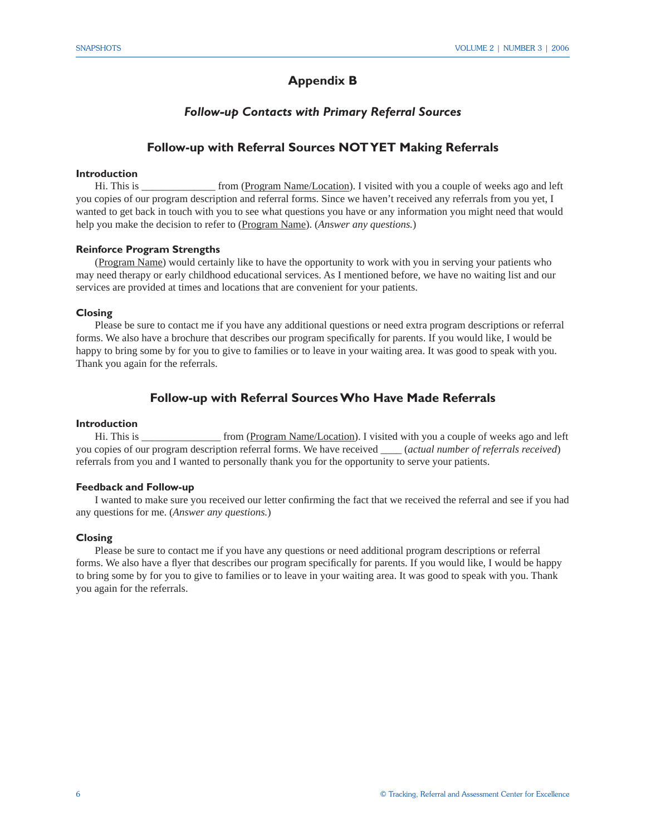## **Appendix B**

#### *Follow-up Contacts with Primary Referral Sources*

### **Follow-up with Referral Sources NOT YET Making Referrals**

#### **Introduction**

Hi. This is \_\_\_\_\_\_\_\_\_\_\_\_\_\_ from (Program Name/Location). I visited with you a couple of weeks ago and left you copies of our program description and referral forms. Since we haven't received any referrals from you yet, I wanted to get back in touch with you to see what questions you have or any information you might need that would help you make the decision to refer to (Program Name). (*Answer any questions.*)

#### **Reinforce Program Strengths**

(Program Name) would certainly like to have the opportunity to work with you in serving your patients who may need therapy or early childhood educational services. As I mentioned before, we have no waiting list and our services are provided at times and locations that are convenient for your patients.

#### **Closing**

Please be sure to contact me if you have any additional questions or need extra program descriptions or referral forms. We also have a brochure that describes our program specifically for parents. If you would like, I would be happy to bring some by for you to give to families or to leave in your waiting area. It was good to speak with you. Thank you again for the referrals.

#### **Follow-up with Referral Sources Who Have Made Referrals**

#### **Introduction**

Hi. This is \_\_\_\_\_\_\_\_\_\_\_\_\_\_\_\_\_ from (Program Name/Location). I visited with you a couple of weeks ago and left you copies of our program description referral forms. We have received \_\_\_\_ (*actual number of referrals received*) referrals from you and I wanted to personally thank you for the opportunity to serve your patients.

#### **Feedback and Follow-up**

I wanted to make sure you received our letter confirming the fact that we received the referral and see if you had any questions for me. (*Answer any questions.*)

#### **Closing**

Please be sure to contact me if you have any questions or need additional program descriptions or referral forms. We also have a flyer that describes our program specifically for parents. If you would like, I would be happy to bring some by for you to give to families or to leave in your waiting area. It was good to speak with you. Thank you again for the referrals.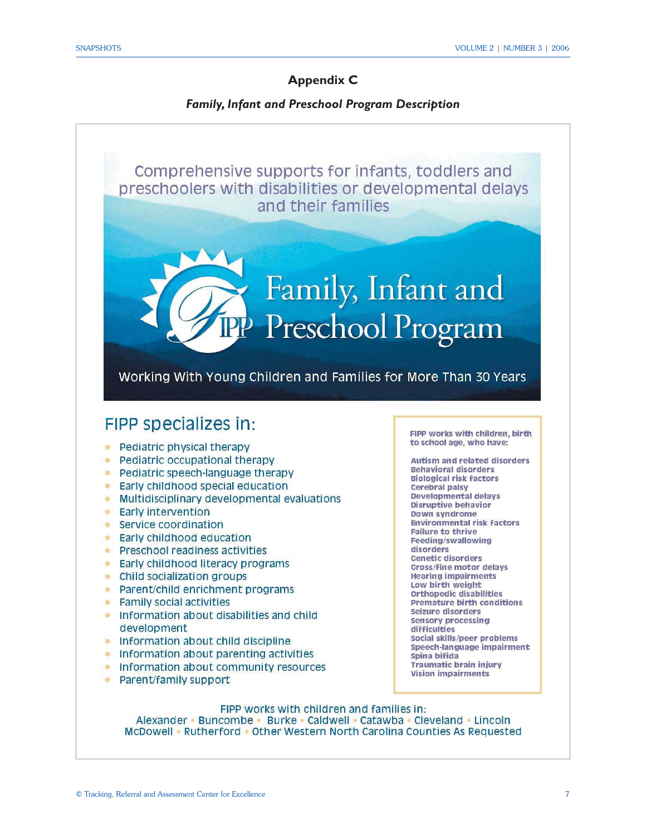## **Appendix C**

## *Family, Infant and Preschool Program Description*



Alexander • Buncombe • Burke • Caldwell • Catawba • Cleveland • Lincoln McDowell • Rutherford • Other Western North Carolina Counties As Requested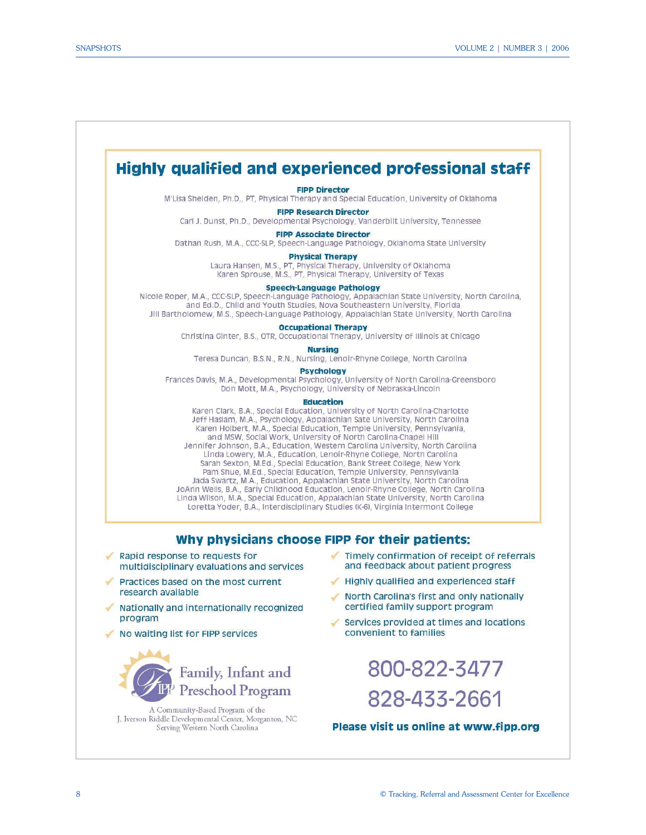



A Community-Based Program of the J. Iverson Riddle Developmental Center, Morganton, NC Serving Western North Carolina

8 © Tracking, Referral and Assessment Center for Excellence

800-822-3477

828-433-2661

Please visit us online at www.fipp.org